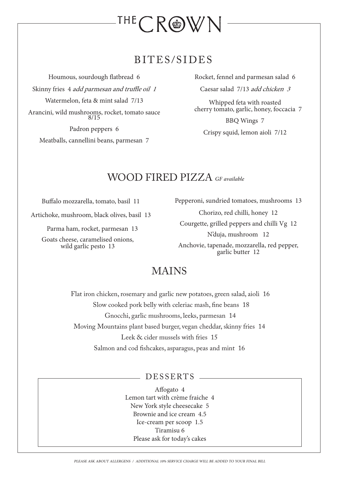

## BITES/SIDES

Houmous, sourdough flatbread 6 Skinny fries 4 add parmesan and truffle oil 1 Watermelon, feta & mint salad 7/13 Arancini, wild mushrooms, rocket, tomato sauce 8/15

Padron peppers 6 Meatballs, cannellini beans, parmesan 7 Rocket, fennel and parmesan salad 6

Caesar salad 7/13 add chicken 3

Whipped feta with roasted cherry tomato, garlic, honey, foccacia 7

BBQ Wings 7 Crispy squid, lemon aioli 7/12

### WOOD FIRED PIZZA *GF available*

Buffalo mozzarella, tomato, basil 11

Artichoke, mushroom, black olives, basil 13

Parma ham, rocket, parmesan 13

Goats cheese, caramelised onions, wild garlic pesto 13

Pepperoni, sundried tomatoes, mushrooms 13

Chorizo, red chilli, honey 12 Courgette, grilled peppers and chilli Vg 12 N'duja, mushroom 12 Anchovie, tapenade, mozzarella, red pepper, garlic butter 12

## MAINS

 Flat iron chicken, rosemary and garlic new potatoes, green salad, aioli 16 Slow cooked pork belly with celeriac mash, fine beans 18 Gnocchi, garlic mushrooms, leeks, parmesan 14 Moving Mountains plant based burger, vegan cheddar, skinny fries 14 Leek & cider mussels with fries 15 Salmon and cod fishcakes, asparagus, peas and mint 16

#### DESSERTS

Affogato 4 Lemon tart with crème fraiche 4 New York style cheesecake 5 Brownie and ice cream 4.5 Ice-cream per scoop 1.5 Tiramisu 6 Please ask for today's cakes